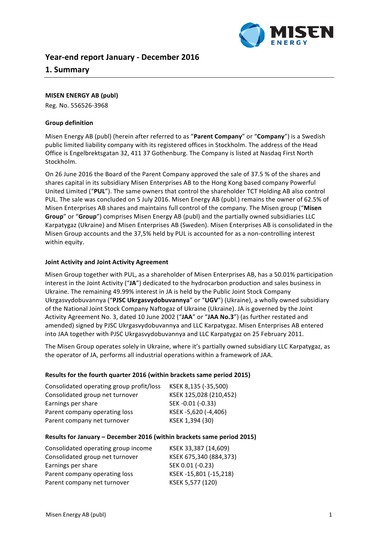

## **Year-end report January - December 2016**

## **1. Summary**

#### **MISEN ENERGY AB (publ)**

Reg. No. 556526-3968

#### **Group definition**

Misen Energy AB (publ) (herein after referred to as "Parent Company" or "Company") is a Swedish public limited liability company with its registered offices in Stockholm. The address of the Head Office is Engelbrektsgatan 32, 411 37 Gothenburg. The Company is listed at Nasdaq First North Stockholm. 

On 26 June 2016 the Board of the Parent Company approved the sale of 37.5 % of the shares and shares capital in its subsidiary Misen Enterprises AB to the Hong Kong based company Powerful United Limited ("PUL"). The same owners that control the shareholder TCT Holding AB also control PUL. The sale was concluded on 5 July 2016. Misen Energy AB (publ.) remains the owner of 62.5% of Misen Enterprises AB shares and maintains full control of the company. The Misen group ("Misen **Group**" or "**Group**") comprises Misen Energy AB (publ) and the partially owned subsidiaries LLC Karpatygaz (Ukraine) and Misen Enterprises AB (Sweden). Misen Enterprises AB is consolidated in the Misen Group accounts and the 37,5% held by PUL is accounted for as a non-controlling interest within equity.

#### **Joint Activity and Joint Activity Agreement**

Misen Group together with PUL, as a shareholder of Misen Enterprises AB, has a 50.01% participation interest in the Joint Activity ("JA") dedicated to the hydrocarbon production and sales business in Ukraine. The remaining 49.99% interest in JA is held by the Public Joint Stock Company Ukrgasvydobuvannya ("PJSC Ukrgasvydobuvannya" or "UGV") (Ukraine), a wholly owned subsidiary of the National Joint Stock Company Naftogaz of Ukraine (Ukraine). JA is governed by the Joint Activity Agreement No. 3, dated 10 June 2002 ("JAA" or "JAA No.3") (as further restated and amended) signed by PJSC Ukrgasvydobuvannya and LLC Karpatygaz. Misen Enterprises AB entered into JAA together with PJSC Ukrgasvydobuvannya and LLC Karpatygaz on 25 February 2011.

The Misen Group operates solely in Ukraine, where it's partially owned subsidiary LLC Karpatygaz, as the operator of JA, performs all industrial operations within a framework of JAA.

#### **Results for the fourth quarter 2016 (within brackets same period 2015)**

| Consolidated operating group profit/loss | KSEK 8,135 (-35,500)   |
|------------------------------------------|------------------------|
| Consolidated group net turnover          | KSEK 125,028 (210,452) |
| Earnings per share                       | SEK-0.01 (-0.33)       |
| Parent company operating loss            | KSEK-5,620 (-4,406)    |
| Parent company net turnover              | KSEK 1,394 (30)        |

#### **Results for January - December 2016 (within brackets same period 2015)**

| Consolidated operating group income | KSEK 33,387 (14,609)   |
|-------------------------------------|------------------------|
| Consolidated group net turnover     | KSEK 675,340 (884,373) |
| Earnings per share                  | SEK 0.01 (-0.23)       |
| Parent company operating loss       | KSEK-15,801 (-15,218)  |
| Parent company net turnover         | KSEK 5,577 (120)       |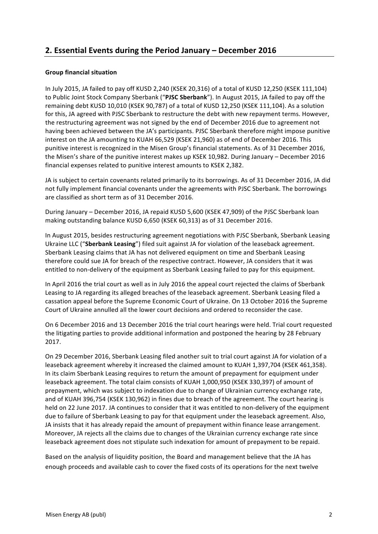# **2. Essential Events during the Period January – December 2016**

### **Group financial situation**

In July 2015, JA failed to pay off KUSD 2,240 (KSEK 20,316) of a total of KUSD 12,250 (KSEK 111,104) to Public Joint Stock Company Sberbank ("PJSC Sberbank"). In August 2015, JA failed to pay off the remaining debt KUSD 10,010 (KSEK 90,787) of a total of KUSD 12,250 (KSEK 111,104). As a solution for this, JA agreed with PJSC Sberbank to restructure the debt with new repayment terms. However, the restructuring agreement was not signed by the end of December 2016 due to agreement not having been achieved between the JA's participants. PJSC Sberbank therefore might impose punitive interest on the JA amounting to KUAH 66,529 (KSEK 21,960) as of end of December 2016. This punitive interest is recognized in the Misen Group's financial statements. As of 31 December 2016, the Misen's share of the punitive interest makes up KSEK 10,982. During January – December 2016 financial expenses related to punitive interest amounts to KSEK 2,382.

JA is subject to certain covenants related primarily to its borrowings. As of 31 December 2016, JA did not fully implement financial covenants under the agreements with PJSC Sberbank. The borrowings are classified as short term as of 31 December 2016.

During January – December 2016, JA repaid KUSD 5,600 (KSEK 47,909) of the PJSC Sberbank loan making outstanding balance KUSD 6,650 (KSEK 60.313) as of 31 December 2016.

In August 2015, besides restructuring agreement negotiations with PJSC Sberbank, Sberbank Leasing Ukraine LLC ("Sberbank Leasing") filed suit against JA for violation of the leaseback agreement. Sberbank Leasing claims that JA has not delivered equipment on time and Sberbank Leasing therefore could sue JA for breach of the respective contract. However, JA considers that it was entitled to non-delivery of the equipment as Sberbank Leasing failed to pay for this equipment.

In April 2016 the trial court as well as in July 2016 the appeal court rejected the claims of Sberbank Leasing to JA regarding its alleged breaches of the leaseback agreement. Sberbank Leasing filed a cassation appeal before the Supreme Economic Court of Ukraine. On 13 October 2016 the Supreme Court of Ukraine annulled all the lower court decisions and ordered to reconsider the case.

On 6 December 2016 and 13 December 2016 the trial court hearings were held. Trial court requested the litigating parties to provide additional information and postponed the hearing by 28 February 2017.

On 29 December 2016, Sberbank Leasing filed another suit to trial court against JA for violation of a leaseback agreement whereby it increased the claimed amount to KUAH 1,397,704 (KSEK 461,358). In its claim Sberbank Leasing requires to return the amount of prepayment for equipment under leaseback agreement. The total claim consists of KUAH 1,000,950 (KSEK 330,397) of amount of prepayment, which was subject to indexation due to change of Ukrainian currency exchange rate, and of KUAH 396,754 (KSEK 130,962) in fines due to breach of the agreement. The court hearing is held on 22 June 2017. JA continues to consider that it was entitled to non-delivery of the equipment due to failure of Sberbank Leasing to pay for that equipment under the leaseback agreement. Also, JA insists that it has already repaid the amount of prepayment within finance lease arrangement. Moreover, JA rejects all the claims due to changes of the Ukrainian currency exchange rate since leaseback agreement does not stipulate such indexation for amount of prepayment to be repaid.

Based on the analysis of liquidity position, the Board and management believe that the JA has enough proceeds and available cash to cover the fixed costs of its operations for the next twelve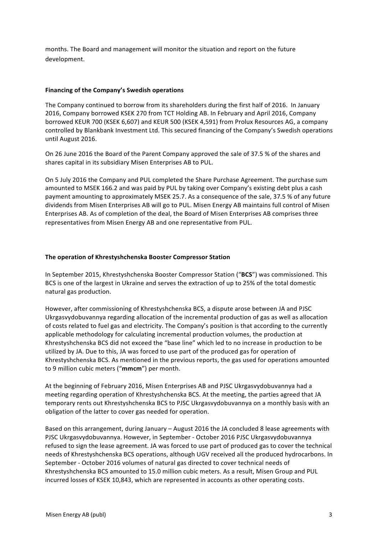months. The Board and management will monitor the situation and report on the future development.

### **Financing of the Company's Swedish operations**

The Company continued to borrow from its shareholders during the first half of 2016. In January 2016, Company borrowed KSEK 270 from TCT Holding AB. In February and April 2016, Company borrowed KEUR 700 (KSEK 6,607) and KEUR 500 (KSEK 4,591) from Prolux Resources AG, a company controlled by Blankbank Investment Ltd. This secured financing of the Company's Swedish operations until August 2016.

On 26 June 2016 the Board of the Parent Company approved the sale of 37.5 % of the shares and shares capital in its subsidiary Misen Enterprises AB to PUL.

On 5 July 2016 the Company and PUL completed the Share Purchase Agreement. The purchase sum amounted to MSEK 166.2 and was paid by PUL by taking over Company's existing debt plus a cash payment amounting to approximately MSEK 25.7. As a consequence of the sale, 37.5 % of any future dividends from Misen Enterprises AB will go to PUL. Misen Energy AB maintains full control of Misen Enterprises AB. As of completion of the deal, the Board of Misen Enterprises AB comprises three representatives from Misen Energy AB and one representative from PUL.

### **The operation of Khrestyshchenska Booster Compressor Station**

In September 2015, Khrestyshchenska Booster Compressor Station ("BCS") was commissioned. This BCS is one of the largest in Ukraine and serves the extraction of up to 25% of the total domestic natural gas production.

However, after commissioning of Khrestyshchenska BCS, a dispute arose between JA and PJSC Ukrgasvydobuvannya regarding allocation of the incremental production of gas as well as allocation of costs related to fuel gas and electricity. The Company's position is that according to the currently applicable methodology for calculating incremental production volumes, the production at Khrestyshchenska BCS did not exceed the "base line" which led to no increase in production to be utilized by JA. Due to this, JA was forced to use part of the produced gas for operation of Khrestyshchenska BCS. As mentioned in the previous reports, the gas used for operations amounted to 9 million cubic meters ("mmcm") per month.

At the beginning of February 2016, Misen Enterprises AB and PJSC Ukrgasyydobuyannya had a meeting regarding operation of Khrestyshchenska BCS. At the meeting, the parties agreed that JA temporary rents out Khrestyshchenska BCS to PJSC Ukrgasvydobuvannya on a monthly basis with an obligation of the latter to cover gas needed for operation.

Based on this arrangement, during January – August 2016 the JA concluded 8 lease agreements with PJSC Ukrgasvydobuvannya. However, in September - October 2016 PJSC Ukrgasvydobuvannya refused to sign the lease agreement. JA was forced to use part of produced gas to cover the technical needs of Khrestyshchenska BCS operations, although UGV received all the produced hydrocarbons. In September - October 2016 volumes of natural gas directed to cover technical needs of Khrestyshchenska BCS amounted to 15.0 million cubic meters. As a result, Misen Group and PUL incurred losses of KSEK 10,843, which are represented in accounts as other operating costs.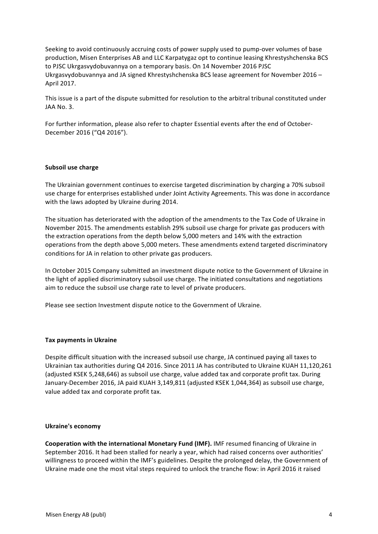Seeking to avoid continuously accruing costs of power supply used to pump-over volumes of base production, Misen Enterprises AB and LLC Karpatygaz opt to continue leasing Khrestyshchenska BCS to PJSC Ukrgasvydobuvannya on a temporary basis. On 14 November 2016 PJSC Ukrgasvydobuvannya and JA signed Khrestyshchenska BCS lease agreement for November  $2016 -$ April 2017.

This issue is a part of the dispute submitted for resolution to the arbitral tribunal constituted under JAA No. 3.

For further information, please also refer to chapter Essential events after the end of October-December 2016 ("Q4 2016").

#### **Subsoil use charge**

The Ukrainian government continues to exercise targeted discrimination by charging a 70% subsoil use charge for enterprises established under Joint Activity Agreements. This was done in accordance with the laws adopted by Ukraine during 2014.

The situation has deteriorated with the adoption of the amendments to the Tax Code of Ukraine in November 2015. The amendments establish 29% subsoil use charge for private gas producers with the extraction operations from the depth below 5,000 meters and 14% with the extraction operations from the depth above 5,000 meters. These amendments extend targeted discriminatory conditions for JA in relation to other private gas producers.

In October 2015 Company submitted an investment dispute notice to the Government of Ukraine in the light of applied discriminatory subsoil use charge. The initiated consultations and negotiations aim to reduce the subsoil use charge rate to level of private producers.

Please see section Investment dispute notice to the Government of Ukraine.

#### **Tax payments in Ukraine**

Despite difficult situation with the increased subsoil use charge, JA continued paying all taxes to Ukrainian tax authorities during Q4 2016. Since 2011 JA has contributed to Ukraine KUAH 11,120,261 (adjusted KSEK 5,248,646) as subsoil use charge, value added tax and corporate profit tax. During January-December 2016, JA paid KUAH 3,149,811 (adjusted KSEK 1,044,364) as subsoil use charge, value added tax and corporate profit tax.

#### **Ukraine's economy**

**Cooperation with the international Monetary Fund (IMF).** IMF resumed financing of Ukraine in September 2016. It had been stalled for nearly a year, which had raised concerns over authorities' willingness to proceed within the IMF's guidelines. Despite the prolonged delay, the Government of Ukraine made one the most vital steps required to unlock the tranche flow: in April 2016 it raised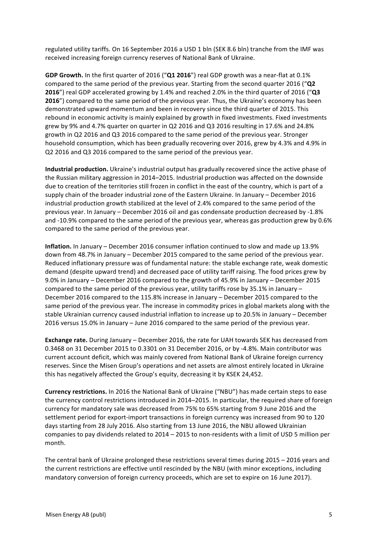regulated utility tariffs. On 16 September 2016 a USD 1 bln (SEK 8.6 bln) tranche from the IMF was received increasing foreign currency reserves of National Bank of Ukraine.

**GDP Growth.** In the first quarter of 2016 ("Q1 2016") real GDP growth was a near-flat at 0.1% compared to the same period of the previous year. Starting from the second quarter 2016 ("Q2 **2016**") real GDP accelerated growing by 1.4% and reached 2.0% in the third quarter of 2016 ("Q3 **2016**") compared to the same period of the previous year. Thus, the Ukraine's economy has been demonstrated upward momentum and been in recovery since the third quarter of 2015. This rebound in economic activity is mainly explained by growth in fixed investments. Fixed investments grew by 9% and 4.7% quarter on quarter in Q2 2016 and Q3 2016 resulting in 17.6% and 24.8% growth in Q2 2016 and Q3 2016 compared to the same period of the previous year. Stronger household consumption, which has been gradually recovering over 2016, grew by 4.3% and 4.9% in Q2 2016 and Q3 2016 compared to the same period of the previous year.

**Industrial production.** Ukraine's industrial output has gradually recovered since the active phase of the Russian military aggression in 2014–2015. Industrial production was affected on the downside due to creation of the territories still frozen in conflict in the east of the country, which is part of a supply chain of the broader industrial zone of the Eastern Ukraine. In January – December 2016 industrial production growth stabilized at the level of 2.4% compared to the same period of the previous year. In January – December 2016 oil and gas condensate production decreased by -1.8% and -10.9% compared to the same period of the previous year, whereas gas production grew by  $0.6\%$ compared to the same period of the previous year.

**Inflation.** In January – December 2016 consumer inflation continued to slow and made up 13.9% down from 48.7% in January - December 2015 compared to the same period of the previous vear. Reduced inflationary pressure was of fundamental nature: the stable exchange rate, weak domestic demand (despite upward trend) and decreased pace of utility tariff raising. The food prices grew by 9.0% in January – December 2016 compared to the growth of 45.9% in January – December 2015 compared to the same period of the previous year, utility tariffs rose by 35.1% in January  $-$ December 2016 compared to the 115.8% increase in January - December 2015 compared to the same period of the previous year. The increase in commodity prices in global markets along with the stable Ukrainian currency caused industrial inflation to increase up to 20.5% in January - December 2016 versus 15.0% in January – June 2016 compared to the same period of the previous year.

**Exchange rate.** During January – December 2016, the rate for UAH towards SEK has decreased from 0.3468 on 31 December 2015 to 0.3301 on 31 December 2016, or by -4.8%. Main contributor was current account deficit, which was mainly covered from National Bank of Ukraine foreign currency reserves. Since the Misen Group's operations and net assets are almost entirely located in Ukraine this has negatively affected the Group's equity, decreasing it by KSEK 24,452.

**Currency restrictions.** In 2016 the National Bank of Ukraine ("NBU") has made certain steps to ease the currency control restrictions introduced in 2014–2015. In particular, the required share of foreign currency for mandatory sale was decreased from 75% to 65% starting from 9 June 2016 and the settlement period for export-import transactions in foreign currency was increased from 90 to 120 days starting from 28 July 2016. Also starting from 13 June 2016, the NBU allowed Ukrainian companies to pay dividends related to  $2014 - 2015$  to non-residents with a limit of USD 5 million per month. 

The central bank of Ukraine prolonged these restrictions several times during  $2015 - 2016$  years and the current restrictions are effective until rescinded by the NBU (with minor exceptions, including mandatory conversion of foreign currency proceeds, which are set to expire on 16 June 2017).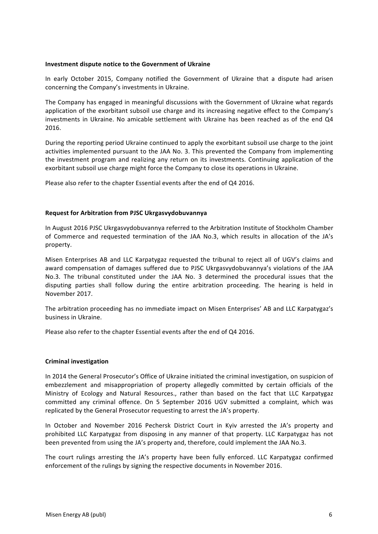#### **Investment dispute notice to the Government of Ukraine**

In early October 2015, Company notified the Government of Ukraine that a dispute had arisen concerning the Company's investments in Ukraine.

The Company has engaged in meaningful discussions with the Government of Ukraine what regards application of the exorbitant subsoil use charge and its increasing negative effect to the Company's investments in Ukraine. No amicable settlement with Ukraine has been reached as of the end Q4 2016. 

During the reporting period Ukraine continued to apply the exorbitant subsoil use charge to the joint activities implemented pursuant to the JAA No. 3. This prevented the Company from implementing the investment program and realizing any return on its investments. Continuing application of the exorbitant subsoil use charge might force the Company to close its operations in Ukraine.

Please also refer to the chapter Essential events after the end of Q4 2016.

#### **Request for Arbitration from PJSC Ukrgasvydobuvannya**

In August 2016 PJSC Ukrgasvydobuvannya referred to the Arbitration Institute of Stockholm Chamber of Commerce and requested termination of the JAA No.3, which results in allocation of the JA's property.

Misen Enterprises AB and LLC Karpatygaz requested the tribunal to reject all of UGV's claims and award compensation of damages suffered due to PJSC Ukrgasvydobuvannya's violations of the JAA No.3. The tribunal constituted under the JAA No. 3 determined the procedural issues that the disputing parties shall follow during the entire arbitration proceeding. The hearing is held in November 2017.

The arbitration proceeding has no immediate impact on Misen Enterprises' AB and LLC Karpatygaz's business in Ukraine.

Please also refer to the chapter Essential events after the end of Q4 2016.

#### **Criminal investigation**

In 2014 the General Prosecutor's Office of Ukraine initiated the criminal investigation, on suspicion of embezzlement and misappropriation of property allegedly committed by certain officials of the Ministry of Ecology and Natural Resources., rather than based on the fact that LLC Karpatygaz committed any criminal offence. On 5 September 2016 UGV submitted a complaint, which was replicated by the General Prosecutor requesting to arrest the JA's property.

In October and November 2016 Pechersk District Court in Kyiv arrested the JA's property and prohibited LLC Karpatygaz from disposing in any manner of that property. LLC Karpatygaz has not been prevented from using the JA's property and, therefore, could implement the JAA No.3.

The court rulings arresting the JA's property have been fully enforced. LLC Karpatygaz confirmed enforcement of the rulings by signing the respective documents in November 2016.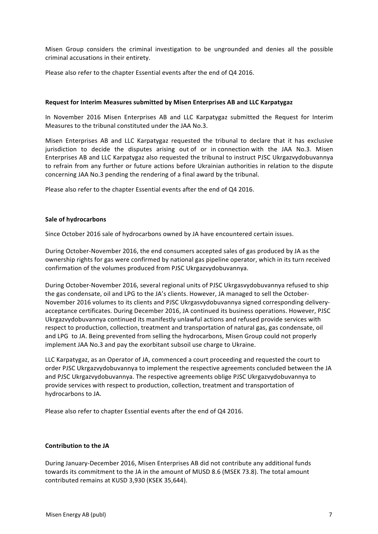Misen Group considers the criminal investigation to be ungrounded and denies all the possible criminal accusations in their entirety.

Please also refer to the chapter Essential events after the end of Q4 2016.

#### **Request for Interim Measures submitted by Misen Enterprises AB and LLC Karpatygaz**

In November 2016 Misen Enterprises AB and LLC Karpatygaz submitted the Request for Interim Measures to the tribunal constituted under the JAA No.3.

Misen Enterprises AB and LLC Karpatygaz requested the tribunal to declare that it has exclusive jurisdiction to decide the disputes arising out of or in connection with the JAA No.3. Misen Enterprises AB and LLC Karpatygaz also requested the tribunal to instruct PJSC Ukrgazvydobuvannya to refrain from any further or future actions before Ukrainian authorities in relation to the dispute concerning JAA No.3 pending the rendering of a final award by the tribunal.

Please also refer to the chapter Essential events after the end of Q4 2016.

#### **Sale of hydrocarbons**

Since October 2016 sale of hydrocarbons owned by JA have encountered certain issues.

During October-November 2016, the end consumers accepted sales of gas produced by JA as the ownership rights for gas were confirmed by national gas pipeline operator, which in its turn received confirmation of the volumes produced from PJSC Ukrgazvydobuvannya.

During October-November 2016, several regional units of PJSC Ukrgasvydobuvannya refused to ship the gas condensate, oil and LPG to the JA's clients. However, JA managed to sell the October-November 2016 volumes to its clients and PJSC Ukrgasvydobuvannya signed corresponding deliveryacceptance certificates. During December 2016, JA continued its business operations. However, PJSC Ukrgazvydobuvannya continued its manifestly unlawful actions and refused provide services with respect to production, collection, treatment and transportation of natural gas, gas condensate, oil and LPG to JA. Being prevented from selling the hydrocarbons, Misen Group could not properly implement JAA No.3 and pay the exorbitant subsoil use charge to Ukraine.

LLC Karpatygaz, as an Operator of JA, commenced a court proceeding and requested the court to order PJSC Ukrgazvydobuvannya to implement the respective agreements concluded between the JA and PJSC Ukrgazvydobuvannya. The respective agreements oblige PJSC Ukrgazvydobuvannya to provide services with respect to production, collection, treatment and transportation of hydrocarbons to JA.

Please also refer to chapter Essential events after the end of Q4 2016.

#### **Contribution to the JA**

During January-December 2016, Misen Enterprises AB did not contribute any additional funds towards its commitment to the JA in the amount of MUSD 8.6 (MSEK 73.8). The total amount contributed remains at KUSD 3,930 (KSEK 35,644).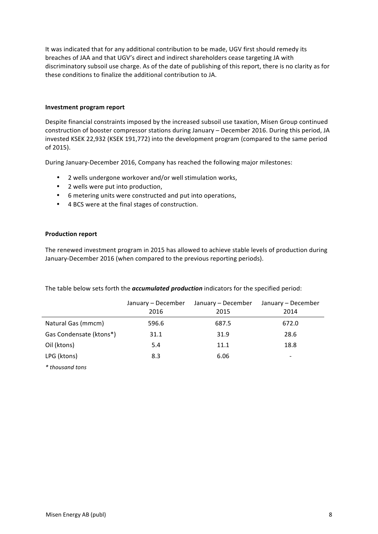It was indicated that for any additional contribution to be made, UGV first should remedy its breaches of JAA and that UGV's direct and indirect shareholders cease targeting JA with discriminatory subsoil use charge. As of the date of publishing of this report, there is no clarity as for these conditions to finalize the additional contribution to JA.

#### **Investment program report**

Despite financial constraints imposed by the increased subsoil use taxation, Misen Group continued construction of booster compressor stations during January – December 2016. During this period, JA invested KSEK 22,932 (KSEK 191,772) into the development program (compared to the same period of 2015).

During January-December 2016, Company has reached the following major milestones:

- 2 wells undergone workover and/or well stimulation works,
- 2 wells were put into production,
- 6 metering units were constructed and put into operations,
- 4 BCS were at the final stages of construction.

#### **Production report**

The renewed investment program in 2015 has allowed to achieve stable levels of production during January-December 2016 (when compared to the previous reporting periods).

|                         | January - December<br>2016 | January - December<br>2015 | January - December<br>2014 |
|-------------------------|----------------------------|----------------------------|----------------------------|
| Natural Gas (mmcm)      | 596.6                      | 687.5                      | 672.0                      |
| Gas Condensate (ktons*) | 31.1                       | 31.9                       | 28.6                       |
| Oil (ktons)             | 5.4                        | 11.1                       | 18.8                       |
| LPG (ktons)             | 8.3                        | 6.06                       |                            |
| * thousand tons         |                            |                            |                            |

The table below sets forth the *accumulated production* indicators for the specified period: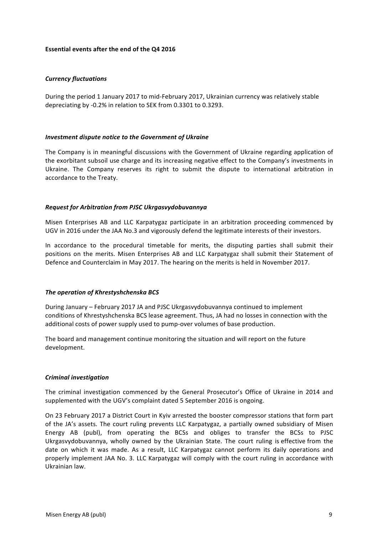#### **Essential events after the end of the Q4 2016**

#### *Currency fluctuations*

During the period 1 January 2017 to mid-February 2017, Ukrainian currency was relatively stable depreciating by -0.2% in relation to SEK from 0.3301 to 0.3293.

#### *Investment dispute notice to the Government of Ukraine*

The Company is in meaningful discussions with the Government of Ukraine regarding application of the exorbitant subsoil use charge and its increasing negative effect to the Company's investments in Ukraine. The Company reserves its right to submit the dispute to international arbitration in accordance to the Treaty.

#### *Request for Arbitration from PJSC Ukrgasvydobuvannya*

Misen Enterprises AB and LLC Karpatygaz participate in an arbitration proceeding commenced by UGV in 2016 under the JAA No.3 and vigorously defend the legitimate interests of their investors.

In accordance to the procedural timetable for merits, the disputing parties shall submit their positions on the merits. Misen Enterprises AB and LLC Karpatygaz shall submit their Statement of Defence and Counterclaim in May 2017. The hearing on the merits is held in November 2017.

#### **The operation of Khrestyshchenska BCS**

During January – February 2017 JA and PJSC Ukrgasvydobuvannya continued to implement conditions of Khrestyshchenska BCS lease agreement. Thus, JA had no losses in connection with the additional costs of power supply used to pump-over volumes of base production.

The board and management continue monitoring the situation and will report on the future development.

#### *Criminal investigation*

The criminal investigation commenced by the General Prosecutor's Office of Ukraine in 2014 and supplemented with the UGV's complaint dated 5 September 2016 is ongoing.

On 23 February 2017 a District Court in Kyiv arrested the booster compressor stations that form part of the JA's assets. The court ruling prevents LLC Karpatygaz, a partially owned subsidiary of Misen Energy AB (publ), from operating the BCSs and obliges to transfer the BCSs to PJSC Ukrgasvydobuvannya, wholly owned by the Ukrainian State. The court ruling is effective from the date on which it was made. As a result, LLC Karpatygaz cannot perform its daily operations and properly implement JAA No. 3. LLC Karpatygaz will comply with the court ruling in accordance with Ukrainian law.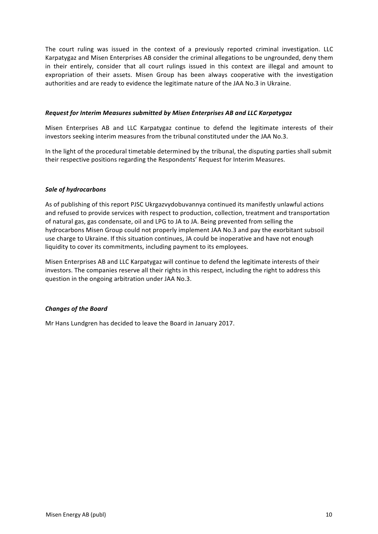The court ruling was issued in the context of a previously reported criminal investigation. LLC Karpatygaz and Misen Enterprises AB consider the criminal allegations to be ungrounded, deny them in their entirely, consider that all court rulings issued in this context are illegal and amount to expropriation of their assets. Misen Group has been always cooperative with the investigation authorities and are ready to evidence the legitimate nature of the JAA No.3 in Ukraine.

#### *Request for Interim Measures submitted by Misen Enterprises AB and LLC Karpatygaz*

Misen Enterprises AB and LLC Karpatygaz continue to defend the legitimate interests of their investors seeking interim measures from the tribunal constituted under the JAA No.3.

In the light of the procedural timetable determined by the tribunal, the disputing parties shall submit their respective positions regarding the Respondents' Request for Interim Measures.

### *Sale of hydrocarbons*

As of publishing of this report PJSC Ukrgazvydobuvannya continued its manifestly unlawful actions and refused to provide services with respect to production, collection, treatment and transportation of natural gas, gas condensate, oil and LPG to JA to JA. Being prevented from selling the hydrocarbons Misen Group could not properly implement JAA No.3 and pay the exorbitant subsoil use charge to Ukraine. If this situation continues, JA could be inoperative and have not enough liquidity to cover its commitments, including payment to its employees.

Misen Enterprises AB and LLC Karpatygaz will continue to defend the legitimate interests of their investors. The companies reserve all their rights in this respect, including the right to address this question in the ongoing arbitration under JAA No.3.

#### *Changes of the Board*

Mr Hans Lundgren has decided to leave the Board in January 2017.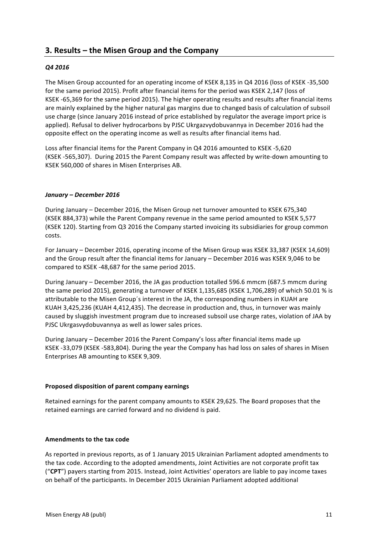## **3. Results – the Misen Group and the Company**

## *Q4 2016*

The Misen Group accounted for an operating income of KSEK 8,135 in Q4 2016 (loss of KSEK -35,500 for the same period 2015). Profit after financial items for the period was KSEK 2,147 (loss of KSEK -65,369 for the same period 2015). The higher operating results and results after financial items are mainly explained by the higher natural gas margins due to changed basis of calculation of subsoil use charge (since January 2016 instead of price established by regulator the average import price is applied). Refusal to deliver hydrocarbons by PJSC Ukrgazvydobuvannya in December 2016 had the opposite effect on the operating income as well as results after financial items had.

Loss after financial items for the Parent Company in Q4 2016 amounted to KSEK -5,620 (KSEK -565,307). During 2015 the Parent Company result was affected by write-down amounting to KSEK 560,000 of shares in Misen Enterprises AB.

#### *January – December 2016*

During January – December 2016, the Misen Group net turnover amounted to KSEK 675,340 (KSEK 884,373) while the Parent Company revenue in the same period amounted to KSEK 5,577 (KSEK 120). Starting from Q3 2016 the Company started invoicing its subsidiaries for group common costs.

For January – December 2016, operating income of the Misen Group was KSEK 33,387 (KSEK 14,609) and the Group result after the financial items for January – December 2016 was KSEK 9,046 to be compared to KSEK -48,687 for the same period 2015.

During January – December 2016, the JA gas production totalled 596.6 mmcm (687.5 mmcm during the same period 2015), generating a turnover of KSEK 1,135,685 (KSEK 1,706,289) of which 50.01 % is attributable to the Misen Group's interest in the JA, the corresponding numbers in KUAH are KUAH 3,425,236 (KUAH 4,412,435). The decrease in production and, thus, in turnover was mainly caused by sluggish investment program due to increased subsoil use charge rates, violation of JAA by PJSC Ukrgasvydobuvannya as well as lower sales prices.

During January – December 2016 the Parent Company's loss after financial items made up KSEK -33,079 (KSEK -583,804). During the year the Company has had loss on sales of shares in Misen Enterprises AB amounting to KSEK 9,309.

#### **Proposed disposition of parent company earnings**

Retained earnings for the parent company amounts to KSEK 29,625. The Board proposes that the retained earnings are carried forward and no dividend is paid.

#### **Amendments to the tax code**

As reported in previous reports, as of 1 January 2015 Ukrainian Parliament adopted amendments to the tax code. According to the adopted amendments, Joint Activities are not corporate profit tax ("CPT") payers starting from 2015. Instead, Joint Activities' operators are liable to pay income taxes on behalf of the participants. In December 2015 Ukrainian Parliament adopted additional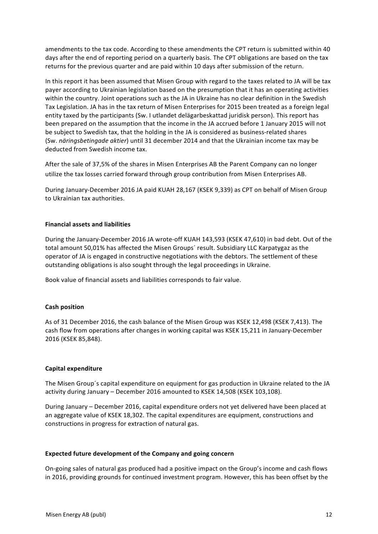amendments to the tax code. According to these amendments the CPT return is submitted within 40 days after the end of reporting period on a quarterly basis. The CPT obligations are based on the tax returns for the previous quarter and are paid within 10 days after submission of the return.

In this report it has been assumed that Misen Group with regard to the taxes related to JA will be tax payer according to Ukrainian legislation based on the presumption that it has an operating activities within the country. Joint operations such as the JA in Ukraine has no clear definition in the Swedish Tax Legislation. JA has in the tax return of Misen Enterprises for 2015 been treated as a foreign legal entity taxed by the participants (Sw. I utlandet delägarbeskattad juridisk person). This report has been prepared on the assumption that the income in the JA accrued before 1 January 2015 will not be subject to Swedish tax, that the holding in the JA is considered as business-related shares (Sw. *näringsbetingade aktier*) until 31 december 2014 and that the Ukrainian income tax may be deducted from Swedish income tax.

After the sale of 37,5% of the shares in Misen Enterprises AB the Parent Company can no longer utilize the tax losses carried forward through group contribution from Misen Enterprises AB.

During January-December 2016 JA paid KUAH 28,167 (KSEK 9,339) as CPT on behalf of Misen Group to Ukrainian tax authorities.

### **Financial assets and liabilities**

During the January-December 2016 JA wrote-off KUAH 143,593 (KSEK 47,610) in bad debt. Out of the total amount 50,01% has affected the Misen Groups' result. Subsidiary LLC Karpatygaz as the operator of JA is engaged in constructive negotiations with the debtors. The settlement of these outstanding obligations is also sought through the legal proceedings in Ukraine.

Book value of financial assets and liabilities corresponds to fair value.

#### **Cash position**

As of 31 December 2016, the cash balance of the Misen Group was KSEK 12,498 (KSEK 7,413). The cash flow from operations after changes in working capital was KSEK 15,211 in January-December 2016 (KSEK 85,848). 

#### **Capital expenditure**

The Misen Group's capital expenditure on equipment for gas production in Ukraine related to the JA activity during January - December 2016 amounted to KSEK 14,508 (KSEK 103,108).

During January – December 2016, capital expenditure orders not yet delivered have been placed at an aggregate value of KSEK 18,302. The capital expenditures are equipment, constructions and constructions in progress for extraction of natural gas.

#### **Expected future development of the Company and going concern**

On-going sales of natural gas produced had a positive impact on the Group's income and cash flows in 2016, providing grounds for continued investment program. However, this has been offset by the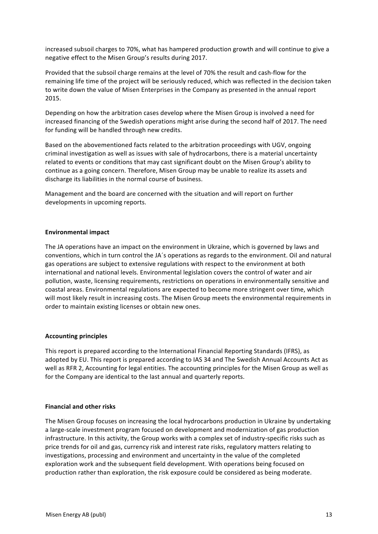increased subsoil charges to 70%, what has hampered production growth and will continue to give a negative effect to the Misen Group's results during 2017.

Provided that the subsoil charge remains at the level of 70% the result and cash-flow for the remaining life time of the project will be seriously reduced, which was reflected in the decision taken to write down the value of Misen Enterprises in the Company as presented in the annual report 2015.

Depending on how the arbitration cases develop where the Misen Group is involved a need for increased financing of the Swedish operations might arise during the second half of 2017. The need for funding will be handled through new credits.

Based on the abovementioned facts related to the arbitration proceedings with UGV, ongoing criminal investigation as well as issues with sale of hydrocarbons, there is a material uncertainty related to events or conditions that may cast significant doubt on the Misen Group's ability to continue as a going concern. Therefore, Misen Group may be unable to realize its assets and discharge its liabilities in the normal course of business.

Management and the board are concerned with the situation and will report on further developments in upcoming reports.

#### **Environmental impact**

The JA operations have an impact on the environment in Ukraine, which is governed by laws and conventions, which in turn control the JA's operations as regards to the environment. Oil and natural gas operations are subject to extensive regulations with respect to the environment at both international and national levels. Environmental legislation covers the control of water and air pollution, waste, licensing requirements, restrictions on operations in environmentally sensitive and coastal areas. Environmental regulations are expected to become more stringent over time, which will most likely result in increasing costs. The Misen Group meets the environmental requirements in order to maintain existing licenses or obtain new ones.

#### **Accounting principles**

This report is prepared according to the International Financial Reporting Standards (IFRS), as adopted by EU. This report is prepared according to IAS 34 and The Swedish Annual Accounts Act as well as RFR 2, Accounting for legal entities. The accounting principles for the Misen Group as well as for the Company are identical to the last annual and quarterly reports.

#### **Financial and other risks**

The Misen Group focuses on increasing the local hydrocarbons production in Ukraine by undertaking a large-scale investment program focused on development and modernization of gas production infrastructure. In this activity, the Group works with a complex set of industry-specific risks such as price trends for oil and gas, currency risk and interest rate risks, regulatory matters relating to investigations, processing and environment and uncertainty in the value of the completed exploration work and the subsequent field development. With operations being focused on production rather than exploration, the risk exposure could be considered as being moderate.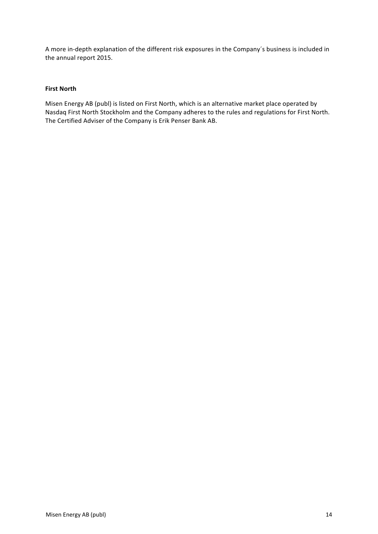A more in-depth explanation of the different risk exposures in the Company's business is included in the annual report 2015.

## **First North**

Misen Energy AB (publ) is listed on First North, which is an alternative market place operated by Nasdaq First North Stockholm and the Company adheres to the rules and regulations for First North. The Certified Adviser of the Company is Erik Penser Bank AB.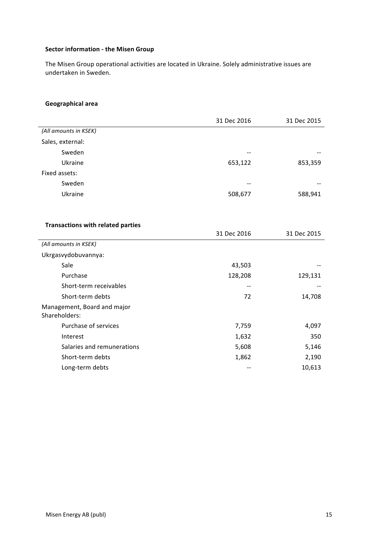## **Sector information - the Misen Group**

The Misen Group operational activities are located in Ukraine. Solely administrative issues are undertaken in Sweden.

## **Geographical area**

|                                              | 31 Dec 2016 | 31 Dec 2015 |
|----------------------------------------------|-------------|-------------|
| (All amounts in KSEK)                        |             |             |
| Sales, external:                             |             |             |
| Sweden                                       |             |             |
| Ukraine                                      | 653,122     | 853,359     |
| Fixed assets:                                |             |             |
| Sweden                                       |             |             |
| Ukraine                                      | 508,677     | 588,941     |
|                                              |             |             |
|                                              |             |             |
| <b>Transactions with related parties</b>     |             |             |
|                                              | 31 Dec 2016 | 31 Dec 2015 |
| (All amounts in KSEK)                        |             |             |
| Ukrgasvydobuvannya:                          |             |             |
| Sale                                         | 43,503      |             |
| Purchase                                     | 128,208     | 129,131     |
| Short-term receivables                       |             |             |
| Short-term debts                             | 72          | 14,708      |
| Management, Board and major<br>Shareholders: |             |             |
| Purchase of services                         | 7,759       | 4,097       |
| Interest                                     | 1,632       | 350         |
| Salaries and remunerations                   | 5,608       | 5,146       |
| Short-term debts                             | 1,862       | 2,190       |
| Long-term debts                              |             | 10,613      |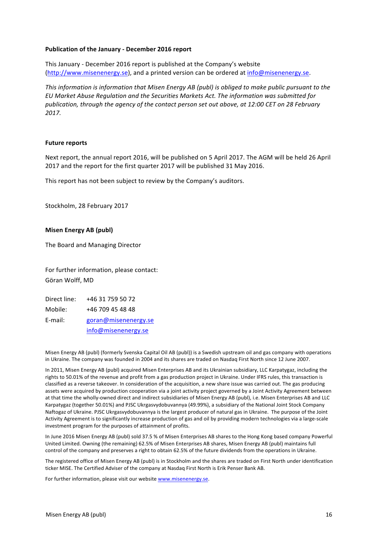#### **Publication of the January - December 2016 report**

This January - December 2016 report is published at the Company's website (http://www.misenenergy.se), and a printed version can be ordered at info@misenenergy.se.

*This information is information that Misen Energy AB (publ)* is obliged to make public pursuant to the *EU Market Abuse Regulation and the Securities Markets Act. The information was submitted for* publication, through the agency of the contact person set out above, at 12:00 CET on 28 February *2017.*

#### **Future reports**

Next report, the annual report 2016, will be published on 5 April 2017. The AGM will be held 26 April 2017 and the report for the first quarter 2017 will be published 31 May 2016.

This report has not been subject to review by the Company's auditors.

Stockholm, 28 February 2017

#### **Misen Energy AB (publ)**

The Board and Managing Director

For further information, please contact: Göran Wolff, MD

| Direct line: | +46 31 759 50 72     |
|--------------|----------------------|
| Mobile:      | +46 709 45 48 48     |
| E-mail:      | goran@misenenergy.se |
|              | info@misenenergy.se  |

Misen Energy AB (publ) (formerly Svenska Capital Oil AB (publ)) is a Swedish upstream oil and gas company with operations in Ukraine. The company was founded in 2004 and its shares are traded on Nasdaq First North since 12 June 2007.

In 2011, Misen Energy AB (publ) acquired Misen Enterprises AB and its Ukrainian subsidiary, LLC Karpatygaz, including the rights to 50.01% of the revenue and profit from a gas production project in Ukraine. Under IFRS rules, this transaction is classified as a reverse takeover. In consideration of the acquisition, a new share issue was carried out. The gas producing assets were acquired by production cooperation via a joint activity project governed by a Joint Activity Agreement between at that time the wholly-owned direct and indirect subsidiaries of Misen Energy AB (publ), i.e. Misen Enterprises AB and LLC Karpatygaz (together 50.01%) and PJSC Ukrgasvydobuvannya (49.99%), a subsidiary of the National Joint Stock Company Naftogaz of Ukraine. PJSC Ukrgasvydobuvannya is the largest producer of natural gas in Ukraine. The purpose of the Joint Activity Agreement is to significantly increase production of gas and oil by providing modern technologies via a large-scale investment program for the purposes of attainment of profits.

In June 2016 Misen Energy AB (publ) sold 37.5 % of Misen Enterprises AB shares to the Hong Kong based company Powerful United Limited. Owning (the remaining) 62.5% of Misen Enterprises AB shares, Misen Energy AB (publ) maintains full control of the company and preserves a right to obtain 62.5% of the future dividends from the operations in Ukraine.

The registered office of Misen Energy AB (publ) is in Stockholm and the shares are traded on First North under identification ticker MISE. The Certified Adviser of the company at Nasdaq First North is Erik Penser Bank AB.

For further information, please visit our website www.misenenergy.se.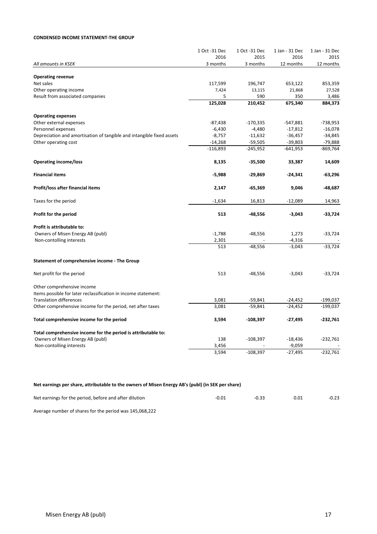#### **CONDENSED INCOME STATEMENT-THE GROUP**

|                                                                       | 1 Oct -31 Dec | 1 Oct -31 Dec | 1 Jan - 31 Dec | 1 Jan - 31 Dec |
|-----------------------------------------------------------------------|---------------|---------------|----------------|----------------|
|                                                                       | 2016          | 2015          | 2016           | 2015           |
| All amounts in KSEK                                                   | 3 months      | 3 months      | 12 months      | 12 months      |
|                                                                       |               |               |                |                |
| <b>Operating revenue</b>                                              |               |               |                |                |
| Net sales                                                             | 117,599       | 196,747       | 653,122        | 853,359        |
| Other operating income                                                | 7,424         | 13,115        | 21,868         | 27,528         |
| Result from associated companies                                      | 5             | 590           | 350            | 3,486          |
|                                                                       | 125,028       | 210,452       | 675,340        | 884,373        |
| <b>Operating expenses</b>                                             |               |               |                |                |
| Other external expenses                                               | $-87,438$     | $-170,335$    | $-547,881$     | $-738,953$     |
| Personnel expenses                                                    | $-6,430$      | $-4,480$      | $-17,812$      | $-16,078$      |
| Depreciation and amortisation of tangible and intangible fixed assets | $-8,757$      | $-11,632$     | $-36,457$      | $-34,845$      |
| Other operating cost                                                  | $-14,268$     | $-59,505$     | $-39,803$      | -79,888        |
|                                                                       | $-116,893$    | $-245,952$    | $-641,953$     | -869,764       |
| <b>Operating income/loss</b>                                          | 8,135         | $-35,500$     | 33,387         | 14,609         |
|                                                                       |               |               |                |                |
| <b>Financial items</b>                                                | $-5,988$      | $-29,869$     | $-24,341$      | $-63,296$      |
| Profit/loss after financial items                                     | 2,147         | $-65,369$     | 9,046          | $-48,687$      |
| Taxes for the period                                                  | $-1,634$      | 16,813        | $-12,089$      | 14,963         |
| Profit for the period                                                 | 513           | $-48,556$     | $-3,043$       | $-33,724$      |
| Profit is attributable to:                                            |               |               |                |                |
| Owners of Misen Energy AB (publ)                                      | $-1,788$      | $-48,556$     | 1,273          | $-33,724$      |
| Non-contolling interests                                              | 2,301         |               | $-4,316$       |                |
|                                                                       | 513           | $-48,556$     | $-3,043$       | $-33,724$      |
| Statement of comprehensive income - The Group                         |               |               |                |                |
|                                                                       |               |               |                |                |
| Net profit for the period                                             | 513           | $-48,556$     | $-3,043$       | $-33,724$      |
| Other comprehensive income                                            |               |               |                |                |
| Items possible for later reclassification in income statement:        |               |               |                |                |
| <b>Translation differences</b>                                        | 3,081         | $-59,841$     | $-24,452$      | $-199,037$     |
| Other comprehensive income for the period, net after taxes            | 3,081         | $-59,841$     | $-24,452$      | $-199,037$     |
| Total comprehensive income for the period                             | 3,594         | $-108,397$    | $-27,495$      | $-232,761$     |
| Total comprehensive income for the period is attributable to:         |               |               |                |                |
| Owners of Misen Energy AB (publ)                                      | 138           | $-108,397$    | $-18,436$      | $-232,761$     |
| Non-contolling interests                                              | 3,456         |               | $-9,059$       |                |
|                                                                       | 3,594         | $-108,397$    | $-27,495$      | $-232,761$     |
|                                                                       |               |               |                |                |

#### Net earnings per share, attributable to the owners of Misen Energy AB's (publ) (in SEK per share)

| Net earnings for the period, before and after dilution | $-0.01$ |  | $-0.23$ |
|--------------------------------------------------------|---------|--|---------|
|                                                        |         |  |         |

Average number of shares for the period was 145,068,222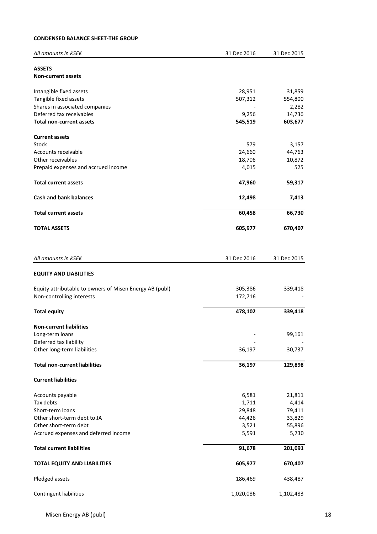### **CONDENSED BALANCE SHEET-THE GROUP**

| All amounts in KSEK                                     | 31 Dec 2016 | 31 Dec 2015 |
|---------------------------------------------------------|-------------|-------------|
|                                                         |             |             |
| <b>ASSETS</b>                                           |             |             |
| <b>Non-current assets</b>                               |             |             |
| Intangible fixed assets                                 | 28,951      | 31,859      |
| Tangible fixed assets                                   | 507,312     | 554,800     |
| Shares in associated companies                          |             | 2,282       |
| Deferred tax receivables                                | 9,256       | 14,736      |
| <b>Total non-current assets</b>                         | 545,519     | 603,677     |
|                                                         |             |             |
| <b>Current assets</b>                                   |             |             |
| Stock                                                   | 579         | 3,157       |
| Accounts receivable                                     | 24,660      | 44,763      |
| Other receivables                                       | 18,706      | 10,872      |
| Prepaid expenses and accrued income                     | 4,015       | 525         |
| <b>Total current assets</b>                             | 47,960      | 59,317      |
| <b>Cash and bank balances</b>                           | 12,498      | 7,413       |
| <b>Total current assets</b>                             | 60,458      | 66,730      |
| <b>TOTAL ASSETS</b>                                     | 605,977     | 670,407     |
|                                                         |             |             |
| All amounts in KSEK                                     | 31 Dec 2016 | 31 Dec 2015 |
|                                                         |             |             |
| <b>EQUITY AND LIABILITIES</b>                           |             |             |
| Equity attributable to owners of Misen Energy AB (publ) | 305,386     | 339,418     |
| Non-controlling interests                               | 172,716     |             |
|                                                         | 478,102     | 339,418     |
| <b>Total equity</b>                                     |             |             |
| <b>Non-current liabilities</b>                          |             |             |
| Long-term loans                                         |             | 99,161      |
| Deferred tax liability                                  |             |             |
| Other long-term liabilities                             | 36,197      | 30,737      |
| <b>Total non-current liabilities</b>                    | 36,197      | 129,898     |
|                                                         |             |             |
| <b>Current liabilities</b>                              |             |             |
| Accounts payable                                        | 6,581       | 21,811      |
| Tax debts                                               | 1,711       | 4,414       |
| Short-term loans                                        | 29,848      | 79,411      |
| Other short-term debt to JA                             | 44,426      | 33,829      |
| Other short-term debt                                   | 3,521       | 55,896      |
| Accrued expenses and deferred income                    | 5,591       | 5,730       |
|                                                         |             |             |
| <b>Total current liabilities</b>                        | 91,678      | 201,091     |
| <b>TOTAL EQUITY AND LIABILITIES</b>                     | 605,977     | 670,407     |
| Pledged assets                                          | 186,469     | 438,487     |
| Contingent liabilities                                  | 1,020,086   | 1,102,483   |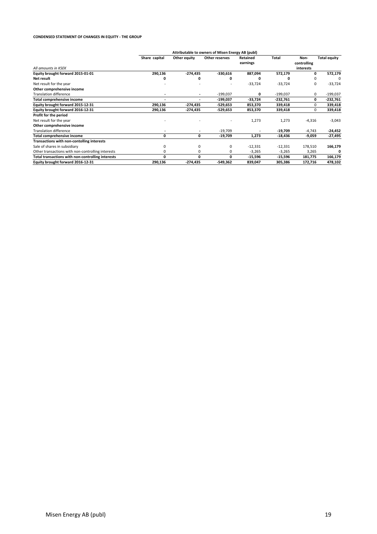#### **CONDENSED STATEMENT OF CHANGES IN EQUITY - THE GROUP**

|                                                   | Attributable to owners of Misen Energy AB (publ) |              |                |                      |            |                     |              |
|---------------------------------------------------|--------------------------------------------------|--------------|----------------|----------------------|------------|---------------------|--------------|
|                                                   | Share capital                                    | Other equity | Other reserves | Retained<br>earnings | Total      | Non-<br>controlling | Total equity |
| All amounts in KSEK                               |                                                  |              |                |                      |            | interests           |              |
| Equity brought forward 2015-01-01                 | 290,136                                          | $-274,435$   | $-330,616$     | 887,094              | 572,179    | 0                   | 572,179      |
| Net result                                        | 0                                                | 0            | 0              | 0                    | ŋ          | $\Omega$            |              |
| Net result for the year                           |                                                  |              |                | $-33,724$            | $-33,724$  | 0                   | $-33,724$    |
| Other comprehensive income                        |                                                  |              |                |                      |            |                     |              |
| <b>Translation difference</b>                     |                                                  | ٠            | $-199,037$     | 0                    | $-199,037$ | 0                   | $-199,037$   |
| <b>Total comprehensive income</b>                 |                                                  | ٠            | $-199,037$     | -33,724              | -232,761   | 0                   | $-232,761$   |
| Equity brought forward 2015-12-31                 | 290,136                                          | $-274,435$   | $-529,653$     | 853,370              | 339,418    | 0                   | 339,418      |
| Equity brought forward 2016-12-31                 | 290,136                                          | $-274,435$   | $-529,653$     | 853,370              | 339,418    | 0                   | 339,418      |
| Profit for the period                             |                                                  |              |                |                      |            |                     |              |
| Net result for the year                           |                                                  |              |                | 1,273                | 1,273      | $-4,316$            | $-3,043$     |
| Other comprehensive income                        |                                                  |              |                |                      |            |                     |              |
| <b>Translation difference</b>                     |                                                  |              | $-19,709$      |                      | $-19,709$  | $-4,743$            | $-24,452$    |
| <b>Total comprehensive income</b>                 | 0                                                | 0            | $-19,709$      | 1,273                | -18,436    | -9,059              | $-27,495$    |
| Transactions with non-contolling interests        |                                                  |              |                |                      |            |                     |              |
| Sale of shares in subsidiary                      | 0                                                | 0            | 0              | $-12,331$            | $-12,331$  | 178,510             | 166,179      |
| Other transactions with non-controlling interests | 0                                                | 0            | 0              | $-3,265$             | $-3,265$   | 3,265               |              |
| Total transactions with non-controlling interests | 0                                                | 0            | 0              | $-15,596$            | -15,596    | 181,775             | 166,179      |
| Equity brought forward 2016-12-31                 | 290,136                                          | $-274,435$   | -549,362       | 839,047              | 305,386    | 172,716             | 478,102      |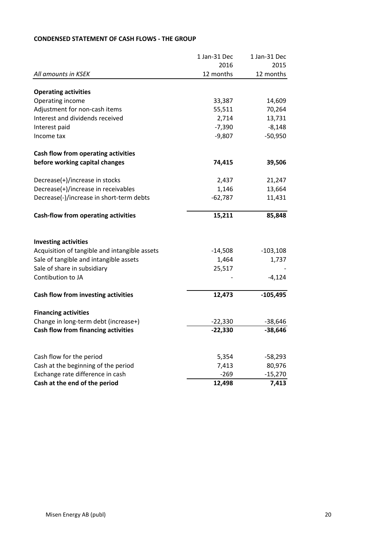|                                               | 1 Jan-31 Dec | 1 Jan-31 Dec |
|-----------------------------------------------|--------------|--------------|
|                                               | 2016         | 2015         |
| All amounts in KSEK                           | 12 months    | 12 months    |
| <b>Operating activities</b>                   |              |              |
| Operating income                              | 33,387       | 14,609       |
| Adjustment for non-cash items                 | 55,511       | 70,264       |
| Interest and dividends received               | 2,714        | 13,731       |
| Interest paid                                 | $-7,390$     | $-8,148$     |
| Income tax                                    | $-9,807$     | $-50,950$    |
| <b>Cash flow from operating activities</b>    |              |              |
| before working capital changes                | 74,415       | 39,506       |
| Decrease(+)/increase in stocks                | 2,437        | 21,247       |
| Decrease(+)/increase in receivables           | 1,146        | 13,664       |
| Decrease(-)/increase in short-term debts      | $-62,787$    | 11,431       |
| <b>Cash-flow from operating activities</b>    | 15,211       | 85,848       |
| <b>Investing activities</b>                   |              |              |
| Acquisition of tangible and intangible assets | $-14,508$    | $-103,108$   |
| Sale of tangible and intangible assets        | 1,464        | 1,737        |
| Sale of share in subsidiary                   | 25,517       |              |
| Contibution to JA                             |              | $-4,124$     |
| Cash flow from investing activities           | 12,473       | $-105,495$   |
| <b>Financing activities</b>                   |              |              |
| Change in long-term debt (increase+)          | $-22,330$    | $-38,646$    |
| <b>Cash flow from financing activities</b>    | $-22,330$    | $-38,646$    |
|                                               |              |              |
| Cash flow for the period                      | 5,354        | $-58,293$    |
| Cash at the beginning of the period           | 7,413        | 80,976       |
| Exchange rate difference in cash              | $-269$       | $-15,270$    |
| Cash at the end of the period                 | 12,498       | 7,413        |

## **CONDENSED STATEMENT OF CASH FLOWS - THE GROUP**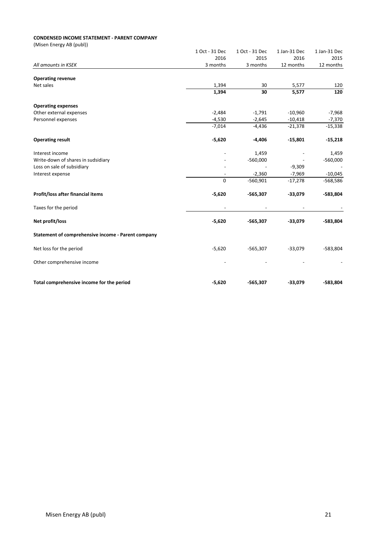#### **CONDENSED INCOME STATEMENT - PARENT COMPANY**

(Misen Energy AB (publ))

| 1 Oct - 31 Dec | 1 Oct - 31 Dec                | 1 Jan-31 Dec                                        | 1 Jan-31 Dec                                |
|----------------|-------------------------------|-----------------------------------------------------|---------------------------------------------|
| 2016           | 2015                          | 2016                                                | 2015                                        |
| 3 months       | 3 months                      | 12 months                                           | 12 months                                   |
|                |                               |                                                     |                                             |
|                |                               |                                                     | 120                                         |
| 1,394          | 30                            | 5,577                                               | 120                                         |
|                |                               |                                                     |                                             |
|                |                               |                                                     | $-7,968$                                    |
| $-4,530$       | $-2,645$                      | $-10,418$                                           | $-7,370$                                    |
| $-7,014$       | $-4,436$                      | $-21,378$                                           | $-15,338$                                   |
| $-5,620$       | $-4,406$                      | $-15,801$                                           | $-15,218$                                   |
|                |                               |                                                     | 1,459                                       |
|                |                               |                                                     | $-560,000$                                  |
|                |                               |                                                     |                                             |
|                | $-2,360$                      | $-7,969$                                            | $-10,045$                                   |
| $\mathbf 0$    | $-560,901$                    | $-17,278$                                           | $-568,586$                                  |
| $-5,620$       | $-565,307$                    | $-33,079$                                           | $-583,804$                                  |
|                |                               |                                                     |                                             |
| $-5,620$       | $-565,307$                    | $-33,079$                                           | $-583,804$                                  |
|                |                               |                                                     |                                             |
| $-5,620$       | $-565,307$                    | $-33,079$                                           | $-583,804$                                  |
|                |                               |                                                     |                                             |
|                |                               |                                                     | $-583,804$                                  |
|                | 1,394<br>$-2,484$<br>$-5,620$ | 30<br>$-1,791$<br>1,459<br>$-560,000$<br>$-565,307$ | 5,577<br>$-10,960$<br>$-9,309$<br>$-33,079$ |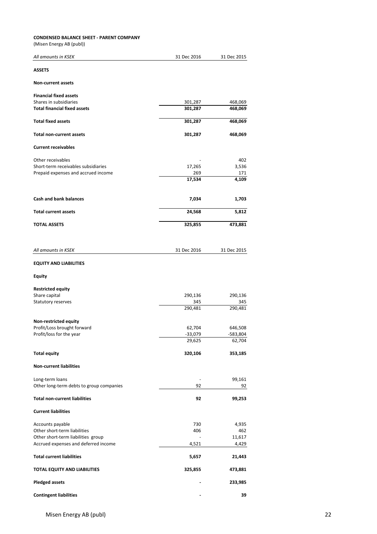#### **CONDENSED BALANCE SHEET - PARENT COMPANY**

(Misen Energy AB (publ))

| (1111)                                   |                     |                    |
|------------------------------------------|---------------------|--------------------|
| All amounts in KSEK                      | 31 Dec 2016         | 31 Dec 2015        |
| <b>ASSETS</b>                            |                     |                    |
| <b>Non-current assets</b>                |                     |                    |
| <b>Financial fixed assets</b>            |                     |                    |
| Shares in subsidiaries                   | 301,287             | 468,069            |
| <b>Total financial fixed assets</b>      | 301,287             | 468,069            |
| <b>Total fixed assets</b>                | 301,287             | 468,069            |
| <b>Total non-current assets</b>          | 301,287             | 468,069            |
| <b>Current receivables</b>               |                     |                    |
| Other receivables                        |                     | 402                |
| Short-term receivables subsidiaries      | 17,265              | 3,536              |
|                                          |                     |                    |
| Prepaid expenses and accrued income      | 269<br>17,534       | 171<br>4,109       |
|                                          |                     |                    |
| <b>Cash and bank balances</b>            | 7,034               | 1,703              |
| <b>Total current assets</b>              | 24,568              | 5,812              |
| <b>TOTAL ASSETS</b>                      | 325,855             | 473,881            |
|                                          |                     |                    |
| All amounts in KSEK                      | 31 Dec 2016         | 31 Dec 2015        |
| <b>EQUITY AND LIABILITIES</b>            |                     |                    |
| <b>Equity</b>                            |                     |                    |
| <b>Restricted equity</b>                 |                     |                    |
| Share capital                            | 290,136             | 290,136            |
| Statutory reserves                       | 345                 | 345                |
|                                          | 290,481             | 290,481            |
| Non-restricted equity                    |                     |                    |
| Profit/Loss brought forward              | 62,704              | 646,508            |
| Profit/loss for the year                 |                     |                    |
|                                          | $-33,079$<br>29,625 | -583,804<br>62,704 |
|                                          |                     |                    |
| <b>Total equity</b>                      | 320,106             | 353,185            |
| <b>Non-current liabilities</b>           |                     |                    |
| Long-term loans                          |                     | 99,161             |
| Other long-term debts to group companies | 92                  | 92                 |
| <b>Total non-current liabilities</b>     | 92                  | 99,253             |
| <b>Current liabilities</b>               |                     |                    |
| Accounts payable                         | 730                 | 4,935              |
| Other short-term liabilities             | 406                 | 462                |
| Other short-term liabilities group       |                     | 11,617             |
| Accrued expenses and deferred income     | 4,521               | 4,429              |
| <b>Total current liabilities</b>         | 5,657               | 21,443             |
| TOTAL EQUITY AND LIABILITIES             | 325,855             | 473,881            |
| <b>Pledged assets</b>                    |                     | 233,985            |
|                                          |                     |                    |

**Contingent liabilities - 39**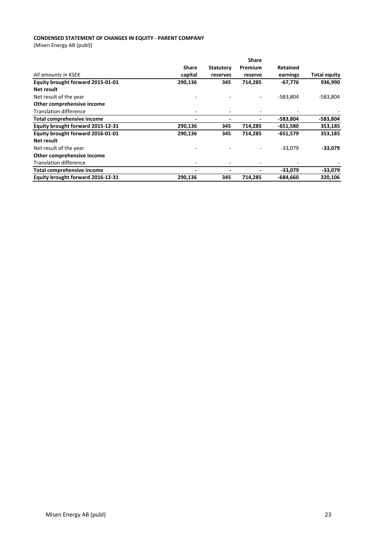#### **CONDENSED STATEMENT OF CHANGES IN EQUITY - PARENT COMPANY**

(Misen Energy AB (publ))

|                                   |                          |                  | <b>Share</b> |                 |                     |
|-----------------------------------|--------------------------|------------------|--------------|-----------------|---------------------|
|                                   | <b>Share</b>             | <b>Statutory</b> | Premium      | <b>Retained</b> |                     |
| All amounts in KSEK               | capital                  | reserves         | reserve      | earnings        | <b>Total equity</b> |
| Equity brought forward 2015-01-01 | 290,136                  | 345              | 714,285      | -67,776         | 936,990             |
| Net result                        |                          |                  |              |                 |                     |
| Net result of the year            |                          |                  |              | $-583,804$      | $-583,804$          |
| Other comprehensive income        |                          |                  |              |                 |                     |
| <b>Translation difference</b>     |                          |                  |              |                 |                     |
| Total comprehensive income        |                          |                  |              | -583,804        | $-583,804$          |
| Equity brought forward 2015-12-31 | 290,136                  | 345              | 714,285      | $-651,580$      | 353,185             |
| Equity brought forward 2016-01-01 | 290,136                  | 345              | 714,285      | $-651,579$      | 353,185             |
| Net result                        |                          |                  |              |                 |                     |
| Net result of the year            |                          |                  |              | $-33,079$       | $-33,079$           |
| Other comprehensive income        |                          |                  |              |                 |                     |
| <b>Translation difference</b>     | $\overline{\phantom{0}}$ |                  |              |                 |                     |
| Total comprehensive income        | -                        |                  |              | $-33,079$       | $-33,079$           |
| Equity brought forward 2016-12-31 | 290,136                  | 345              | 714,285      | -684,660        | 320,106             |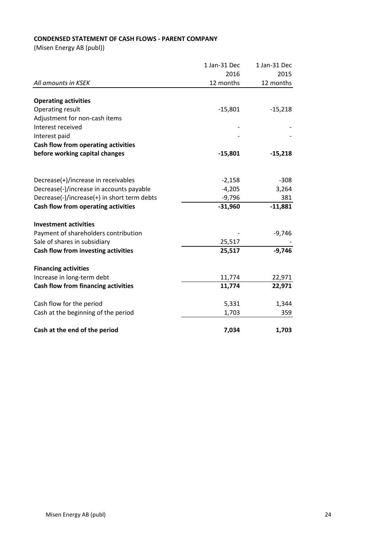## **CONDENSED STATEMENT OF CASH FLOWS - PARENT COMPANY**

(Misen Energy AB (publ))

|                                             | 1 Jan-31 Dec | 1 Jan-31 Dec |
|---------------------------------------------|--------------|--------------|
|                                             | 2016         | 2015         |
| All amounts in KSEK                         | 12 months    | 12 months    |
|                                             |              |              |
| <b>Operating activities</b>                 |              |              |
| Operating result                            | $-15,801$    | $-15,218$    |
| Adjustment for non-cash items               |              |              |
| Interest received                           |              |              |
| Interest paid                               |              |              |
| Cash flow from operating activities         |              |              |
| before working capital changes              | $-15,801$    | $-15,218$    |
|                                             |              |              |
| Decrease(+)/increase in receivables         | $-2,158$     | $-308$       |
| Decrease(-)/increase in accounts payable    | $-4,205$     | 3,264        |
| Decrease(-)/increase(+) in short term debts | $-9,796$     | 381          |
| Cash flow from operating activities         | $-31,960$    | $-11,881$    |
| <b>Investment activities</b>                |              |              |
| Payment of shareholders contribution        |              | $-9,746$     |
| Sale of shares in subsidiary                | 25,517       |              |
| Cash flow from investing activities         | 25,517       | $-9,746$     |
| <b>Financing activities</b>                 |              |              |
| Increase in long-term debt                  | 11,774       | 22,971       |
| <b>Cash flow from financing activities</b>  | 11,774       | 22,971       |
| Cash flow for the period                    | 5,331        | 1,344        |
| Cash at the beginning of the period         | 1,703        | 359          |
| Cash at the end of the period               | 7,034        | 1,703        |